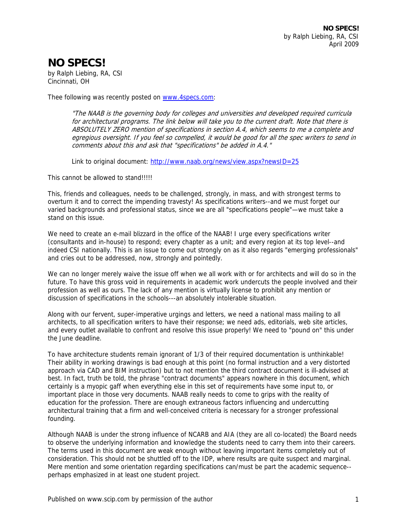## **NO SPECS!**

by Ralph Liebing, RA, CSI Cincinnati, OH

Thee following was recently posted on www.4specs.com:

"The NAAB is the governing body for colleges and universities and developed required curricula for architectural programs. The link below will take you to the current draft. Note that there is ABSOLUTELY ZERO mention of specifications in section A.4, which seems to me a complete and egregious oversight. If you feel so compelled, it would be good for all the spec writers to send in comments about this and ask that "specifications" be added in A.4."

Link to original document: http://www.naab.org/news/view.aspx?newsID=25

This cannot be allowed to stand!!!!!

This, friends and colleagues, needs to be challenged, strongly, in mass, and with strongest terms to overturn it and to correct the impending travesty! As specifications writers--and we must forget our varied backgrounds and professional status, since we are all "specifications people"—we must take a stand on this issue.

We need to create an e-mail blizzard in the office of the NAAB! I urge every specifications writer (consultants and in-house) to respond; every chapter as a unit; and every region at its top level--and indeed CSI nationally. This is an issue to come out strongly on as it also regards "emerging professionals" and cries out to be addressed, now, strongly and pointedly.

We can no longer merely waive the issue off when we all work with or for architects and will do so in the future. To have this gross void in requirements in academic work undercuts the people involved and their profession as well as ours. The lack of any mention is virtually license to prohibit any mention or discussion of specifications in the schools---an absolutely intolerable situation.

Along with our fervent, super-imperative urgings and letters, we need a national mass mailing to all architects, to all specification writers to have their response; we need ads, editorials, web site articles, and every outlet available to confront and resolve this issue properly! We need to "pound on" this under the June deadline.

To have architecture students remain ignorant of 1/3 of their required documentation is unthinkable! Their ability in working drawings is bad enough at this point (no formal instruction and a very distorted approach via CAD and BIM instruction) but to not mention the third contract document is ill-advised at best. In fact, truth be told, the phrase "contract documents" appears nowhere in this document, which certainly is a myopic gaff when everything else in this set of requirements have some input to, or important place in those very documents. NAAB really needs to come to grips with the reality of education for the profession. There are enough extraneous factors influencing and undercutting architectural training that a firm and well-conceived criteria is necessary for a stronger professional founding.

Although NAAB is under the strong influence of NCARB and AIA (they are all co-located) the Board needs to observe the underlying information and knowledge the students need to carry them into their careers. The terms used in this document are weak enough without leaving important items completely out of consideration. This should not be shuttled off to the IDP, where results are quite suspect and marginal. Mere mention and some orientation regarding specifications can/must be part the academic sequence- perhaps emphasized in at least one student project.